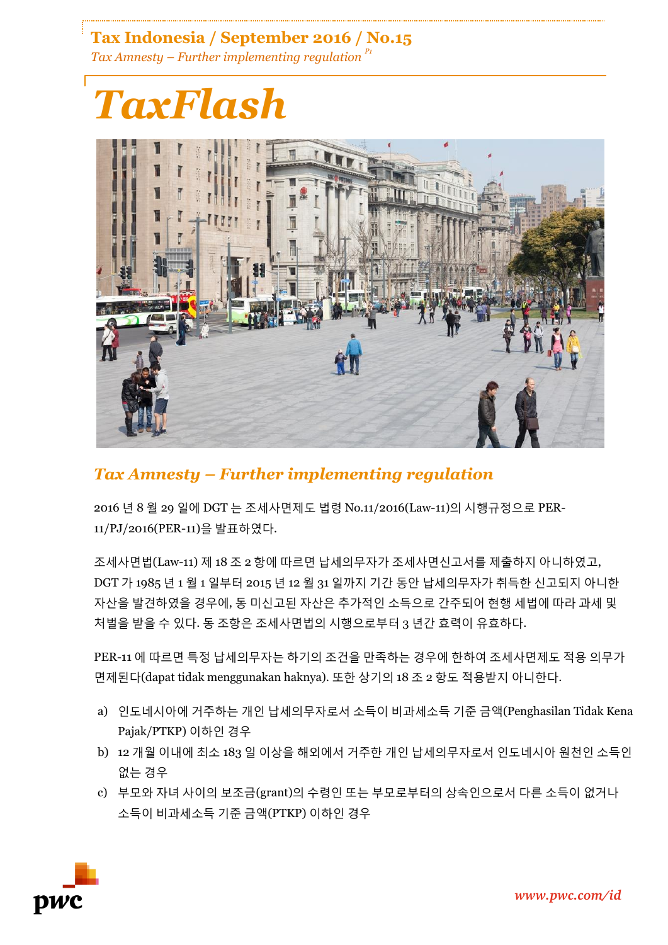# **Tax Indonesia / September 2016 / No.15** *Tax Amnesty – Further implementing regulation P1*



# *Tax Amnesty – Further implementing regulation*

2016 년 8 월 29 일에 DGT 는 조세사면제도 법령 No.11/2016(Law-11)의 시행규정으로 PER-11/PJ/2016(PER-11)을 발표하였다.

조세사면법(Law-11) 제 18 조 2 항에 따르면 납세의무자가 조세사면신고서를 제출하지 아니하였고, DGT 가 1985 년 1 월 1 일부터 2015 년 12 월 31 일까지 기간 동안 납세의무자가 취득한 신고되지 아니한 자산을 발견하였을 경우에, 동 미신고된 자산은 추가적인 소득으로 간주되어 현행 세법에 따라 과세 및 처벌을 받을 수 있다. 동 조항은 조세사면법의 시행으로부터 3 년간 효력이 유효하다.

PER-11 에 따르면 특정 납세의무자는 하기의 조건을 만족하는 경우에 한하여 조세사면제도 적용 의무가 면제된다(dapat tidak menggunakan haknya). 또한 상기의 18 조 2 항도 적용받지 아니한다.

- a) 인도네시아에 거주하는 개인 납세의무자로서 소득이 비과세소득 기준 금액(Penghasilan Tidak Kena Pajak/PTKP) 이하인 경우
- b) 12 개월 이내에 최소 183 일 이상을 해외에서 거주한 개인 납세의무자로서 인도네시아 원천인 소득인 없는 경우
- c) 부모와 자녀 사이의 보조금(grant)의 수령인 또는 부모로부터의 상속인으로서 다른 소득이 없거나 소득이 비과세소득 기준 금액(PTKP) 이하인 경우

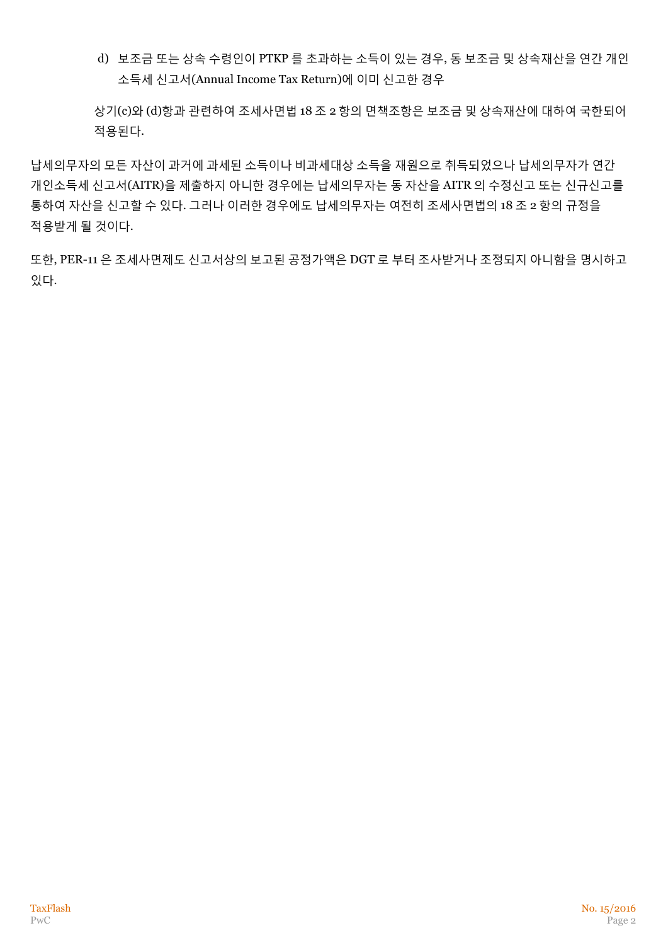d) 보조금 또는 상속 수령인이 PTKP 를 초과하는 소득이 있는 경우, 동 보조금 및 상속재산을 연간 개인 소득세 신고서(Annual Income Tax Return)에 이미 신고한 경우

상기(c)와 (d)항과 관련하여 조세사면법 18 조 2 항의 면책조항은 보조금 및 상속재산에 대하여 국한되어 적용된다.

납세의무자의 모든 자산이 과거에 과세된 소득이나 비과세대상 소득을 재원으로 취득되었으나 납세의무자가 연간 개인소득세 신고서(AITR)을 제출하지 아니한 경우에는 납세의무자는 동 자산을 AITR 의 수정신고 또는 신규신고를 통하여 자산을 신고할 수 있다. 그러나 이러한 경우에도 납세의무자는 여전히 조세사면법의 18 조 2 항의 규정을 적용받게 될 것이다.

또한, PER-11 은 조세사면제도 신고서상의 보고된 공정가액은 DGT 로 부터 조사받거나 조정되지 아니함을 명시하고 있다.